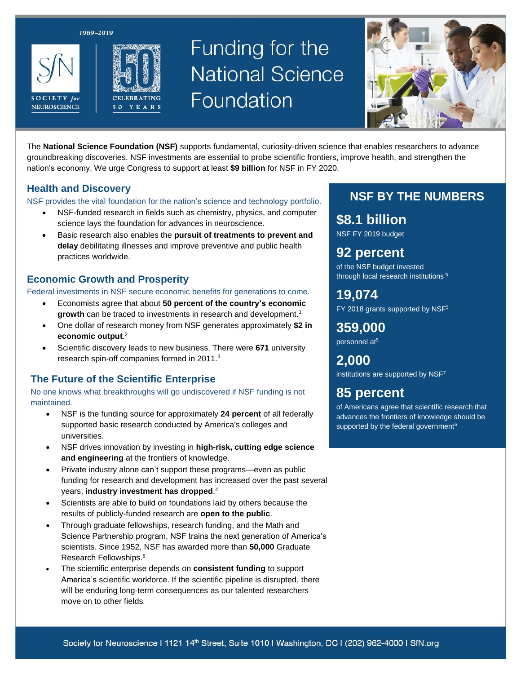1969-2019





# Funding for the **National Science** Foundation



The **National Science Foundation (NSF)** supports fundamental, curiosity-driven science that enables researchers to advance groundbreaking discoveries. NSF investments are essential to probe scientific frontiers, improve health, and strengthen the nation's economy. We urge Congress to support at least **\$9 billion** for NSF in FY 2020.

## **Health and Discovery**

NSF provides the vital foundation for the nation's science and technology portfolio.

- NSF-funded research in fields such as chemistry, physics, and computer science lays the foundation for advances in neuroscience.
- Basic research also enables the **pursuit of treatments to prevent and delay** debilitating illnesses and improve preventive and public health practices worldwide.

## **Economic Growth and Prosperity**

Federal investments in NSF secure economic benefits for generations to come.

- Economists agree that about **50 percent of the country's economic**  growth can be traced to investments in research and development.<sup>1</sup>
- One dollar of research money from NSF generates approximately **\$2 in economic output**. 2
- Scientific discovery leads to new business. There were **671** university research spin-off companies formed in 2011.<sup>3</sup>

## **The Future of the Scientific Enterprise**

No one knows what breakthroughs will go undiscovered if NSF funding is not maintained.

- NSF is the funding source for approximately **24 percent** of all federally supported basic research conducted by America's colleges and universities.
- NSF drives innovation by investing in **high-risk, cutting edge science and engineering** at the frontiers of knowledge.
- Private industry alone can't support these programs—even as public funding for research and development has increased over the past several years, **industry investment has dropped**. 4
- Scientists are able to build on foundations laid by others because the results of publicly-funded research are **open to the public**.
- Through graduate fellowships, research funding, and the Math and Science Partnership program, NSF trains the next generation of America's scientists. Since 1952, NSF has awarded more than **50,000** Graduate Research Fellowships.<sup>8</sup>
- The scientific enterprise depends on **consistent funding** to support America's scientific workforce. If the scientific pipeline is disrupted, there will be enduring long-term consequences as our talented researchers move on to other fields.

## **NSF BY THE NUMBERS**

**\$8.1 billion** NSF FY 2019 budget

**92 percent** of the NSF budget invested through local research institutions <sup>5</sup>

**19,074**  $FY$  2018 grants supported by NSF $5$ 

**359,000** personnel at<sup>5</sup>

**2,000** institutions are supported by NSF7

## **85 percent**

of Americans agree that scientific research that advances the frontiers of knowledge should be supported by the federal government<sup>6</sup>